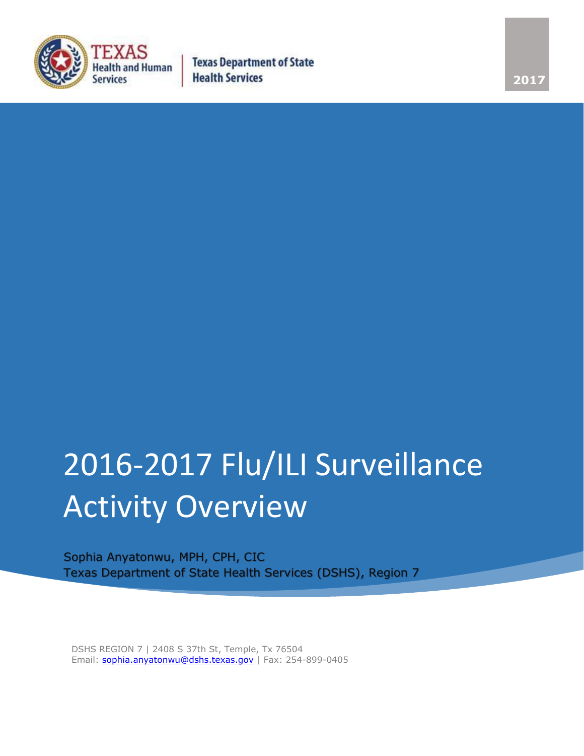

## 2016-2017 Flu/ILI Surveillance Activity Overview

Sophia Anyatonwu, MPH, CPH, CIC Texas Department of State Health Services (DSHS), Region 7

DSHS REGION 7 | 2408 S 37th St, Temple, Tx 76504 Email: [sophia.anyatonwu@dshs.texas.gov](mailto:sophia.anyatonwu@dshs.texas.gov) | Fax: 254-899-0405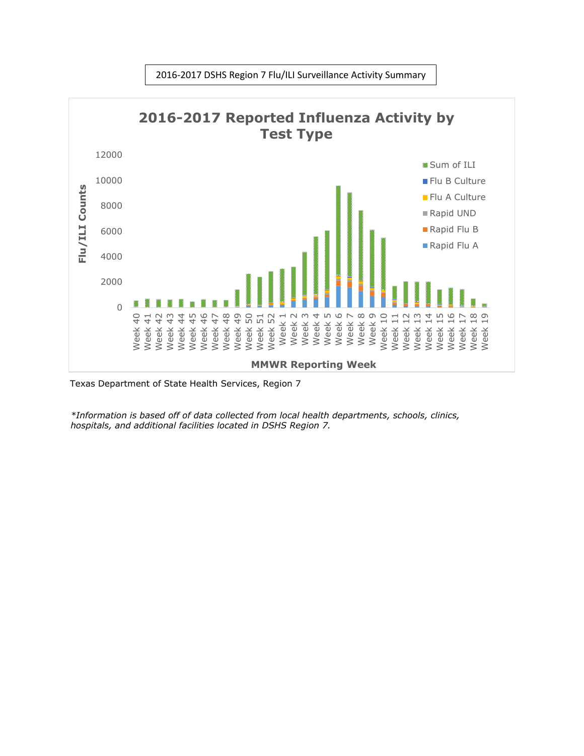

2016-2017 DSHS Region 7 Flu/ILI Surveillance Activity Summary

*\*Information is based off of data collected from local health departments, schools, clinics, hospitals, and additional facilities located in DSHS Region 7.*

Texas Department of State Health Services, Region 7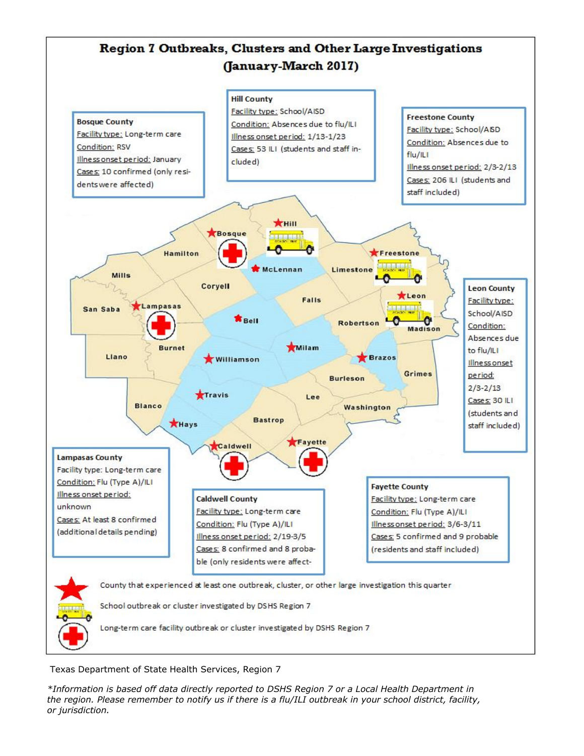

Texas Department of State Health Services, Region 7

*\*Information is based off data directly reported to DSHS Region 7 or a Local Health Department in the region. Please remember to notify us if there is a flu/ILI outbreak in your school district, facility, or jurisdiction.*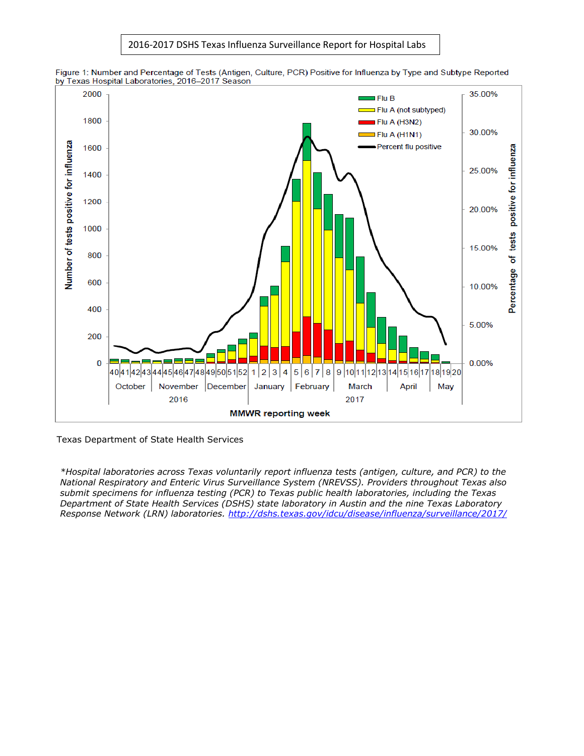2016-2017 DSHS Texas Influenza Surveillance Report for Hospital Labs



Figure 1: Number and Percentage of Tests (Antigen, Culture, PCR) Positive for Influenza by Type and Subtype Reported by Texas Hospital Laboratories, 2016-2017 Season

Texas Department of State Health Services

*\*Hospital laboratories across Texas voluntarily report influenza tests (antigen, culture, and PCR) to the National Respiratory and Enteric Virus Surveillance System (NREVSS). Providers throughout Texas also submit specimens for influenza testing (PCR) to Texas public health laboratories, including the Texas Department of State Health Services (DSHS) state laboratory in Austin and the nine Texas Laboratory Response Network (LRN) laboratories.<http://dshs.texas.gov/idcu/disease/influenza/surveillance/2017/>*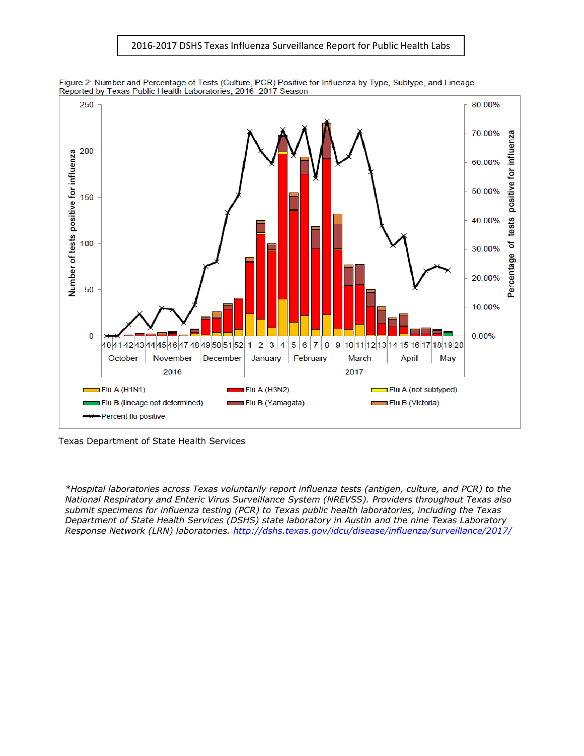





Texas Department of State Health Services

*\*Hospital laboratories across Texas voluntarily report influenza tests (antigen, culture, and PCR) to the National Respiratory and Enteric Virus Surveillance System (NREVSS). Providers throughout Texas also submit specimens for influenza testing (PCR) to Texas public health laboratories, including the Texas Department of State Health Services (DSHS) state laboratory in Austin and the nine Texas Laboratory Response Network (LRN) laboratories.<http://dshs.texas.gov/idcu/disease/influenza/surveillance/2017/>*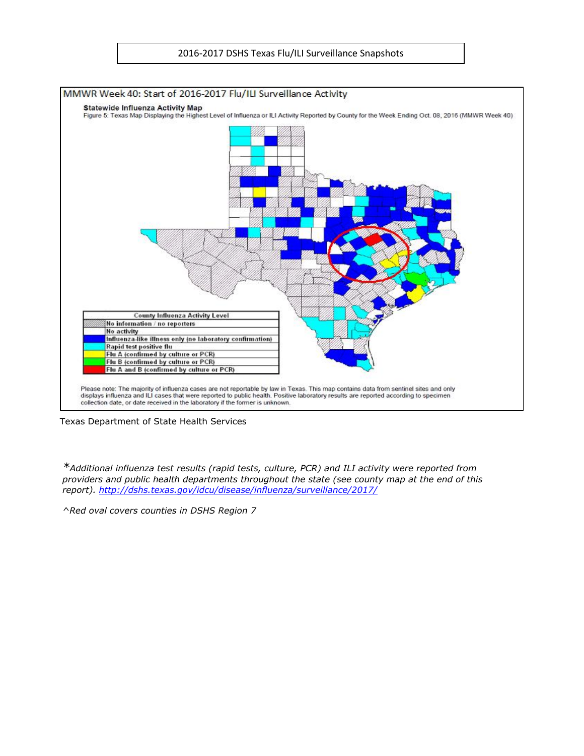

Texas Department of State Health Services

*\*Additional influenza test results (rapid tests, culture, PCR) and ILI activity were reported from providers and public health departments throughout the state (see county map at the end of this report).<http://dshs.texas.gov/idcu/disease/influenza/surveillance/2017/>*

*^Red oval covers counties in DSHS Region 7*